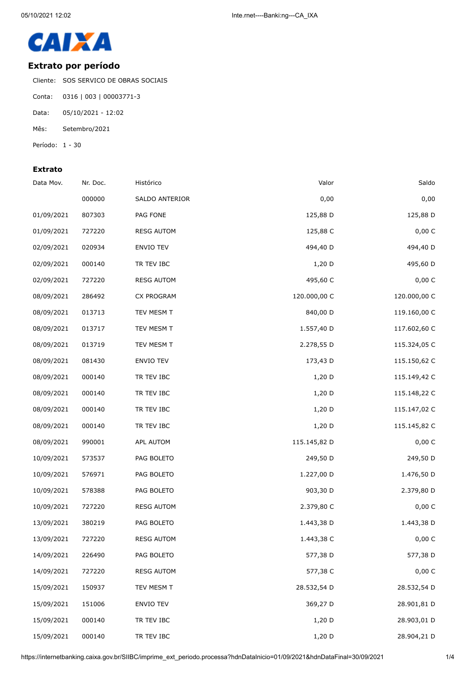

## **Extrato por período**

Cliente: SOS SERVICO DE OBRAS SOCIAIS

- Conta: 0316 | 003 | 00003771-3
- Data: 05/10/2021 12:02
- Mês: Setembro/2021
- Período: 1 30

## **Extrato**

| Data Mov.  | Nr. Doc. | Histórico         | Valor        | Saldo        |
|------------|----------|-------------------|--------------|--------------|
|            | 000000   | SALDO ANTERIOR    | 0,00         | 0,00         |
| 01/09/2021 | 807303   | PAG FONE          | 125,88 D     | 125,88 D     |
| 01/09/2021 | 727220   | <b>RESG AUTOM</b> | 125,88 C     | 0,00 C       |
| 02/09/2021 | 020934   | ENVIO TEV         | 494,40 D     | 494,40 D     |
| 02/09/2021 | 000140   | TR TEV IBC        | 1,20 D       | 495,60 D     |
| 02/09/2021 | 727220   | <b>RESG AUTOM</b> | 495,60 C     | 0,00 C       |
| 08/09/2021 | 286492   | CX PROGRAM        | 120.000,00 C | 120.000,00 C |
| 08/09/2021 | 013713   | TEV MESM T        | 840,00 D     | 119.160,00 C |
| 08/09/2021 | 013717   | TEV MESM T        | 1.557,40 D   | 117.602,60 C |
| 08/09/2021 | 013719   | TEV MESM T        | 2.278,55 D   | 115.324,05 C |
| 08/09/2021 | 081430   | ENVIO TEV         | 173,43 D     | 115.150,62 C |
| 08/09/2021 | 000140   | TR TEV IBC        | 1,20 D       | 115.149,42 C |
| 08/09/2021 | 000140   | TR TEV IBC        | 1,20 D       | 115.148,22 C |
| 08/09/2021 | 000140   | TR TEV IBC        | $1,20$ D     | 115.147,02 C |
| 08/09/2021 | 000140   | TR TEV IBC        | $1,20$ D     | 115.145,82 C |
| 08/09/2021 | 990001   | APL AUTOM         | 115.145,82 D | 0,00 C       |
| 10/09/2021 | 573537   | PAG BOLETO        | 249,50 D     | 249,50 D     |
| 10/09/2021 | 576971   | PAG BOLETO        | 1.227,00 D   | 1.476,50 D   |
| 10/09/2021 | 578388   | PAG BOLETO        | 903,30 D     | 2.379,80 D   |
| 10/09/2021 | 727220   | <b>RESG AUTOM</b> | 2.379,80 C   | 0,00 C       |
| 13/09/2021 | 380219   | PAG BOLETO        | 1.443,38 D   | 1.443,38 D   |
| 13/09/2021 | 727220   | <b>RESG AUTOM</b> | 1.443,38 C   | 0,00 C       |
| 14/09/2021 | 226490   | PAG BOLETO        | 577,38 D     | 577,38 D     |
| 14/09/2021 | 727220   | <b>RESG AUTOM</b> | 577,38 C     | 0,00 C       |
| 15/09/2021 | 150937   | TEV MESM T        | 28.532,54 D  | 28.532,54 D  |
| 15/09/2021 | 151006   | ENVIO TEV         | 369,27 D     | 28.901,81 D  |
| 15/09/2021 | 000140   | TR TEV IBC        | 1,20 D       | 28.903,01 D  |
| 15/09/2021 | 000140   | TR TEV IBC        | 1,20 D       | 28.904,21 D  |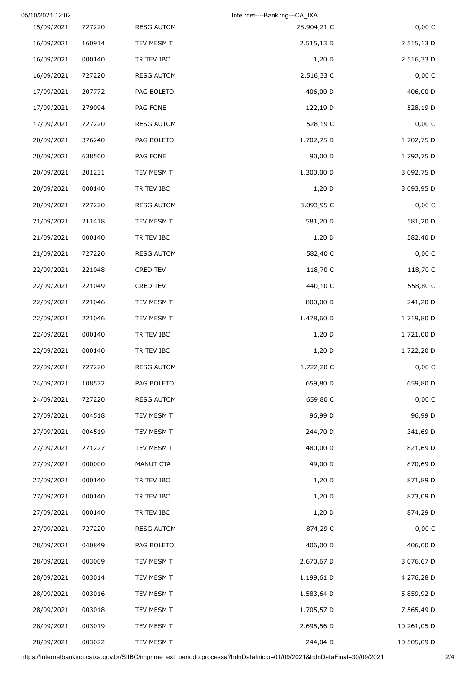|             | Inte.rnet----Banki:ng---CA IXA |                   |        | 05/10/2021 12:02 |
|-------------|--------------------------------|-------------------|--------|------------------|
| 0,00 C      | 28.904,21 C                    | <b>RESG AUTOM</b> | 727220 | 15/09/2021       |
| 2.515,13 D  | 2.515,13 D                     | TEV MESM T        | 160914 | 16/09/2021       |
| 2.516,33 D  | $1,20$ D                       | TR TEV IBC        | 000140 | 16/09/2021       |
| 0,00 C      | 2.516,33 C                     | <b>RESG AUTOM</b> | 727220 | 16/09/2021       |
| 406,00 D    | 406,00 D                       | PAG BOLETO        | 207772 | 17/09/2021       |
| 528,19 D    | 122,19 D                       | PAG FONE          | 279094 | 17/09/2021       |
| 0,00 C      | 528,19 C                       | <b>RESG AUTOM</b> | 727220 | 17/09/2021       |
| 1.702,75 D  | 1.702,75 D                     | PAG BOLETO        | 376240 | 20/09/2021       |
| 1.792,75 D  | 90,00 D                        | PAG FONE          | 638560 | 20/09/2021       |
| 3.092,75 D  | 1.300,00 D                     | TEV MESM T        | 201231 | 20/09/2021       |
| 3.093,95 D  | 1,20 D                         | TR TEV IBC        | 000140 | 20/09/2021       |
| 0,00 C      | 3.093,95 C                     | <b>RESG AUTOM</b> | 727220 | 20/09/2021       |
| 581,20 D    | 581,20 D                       | TEV MESM T        | 211418 | 21/09/2021       |
| 582,40 D    | $1,20$ D                       | TR TEV IBC        | 000140 | 21/09/2021       |
| 0,00 C      | 582,40 C                       | <b>RESG AUTOM</b> | 727220 | 21/09/2021       |
| 118,70 C    | 118,70 C                       | CRED TEV          | 221048 | 22/09/2021       |
| 558,80 C    | 440,10 C                       | CRED TEV          | 221049 | 22/09/2021       |
| 241,20 D    | 800,00 D                       | TEV MESM T        | 221046 | 22/09/2021       |
| 1.719,80 D  | 1.478,60 D                     | TEV MESM T        | 221046 | 22/09/2021       |
| 1.721,00 D  | $1,20$ D                       | TR TEV IBC        | 000140 | 22/09/2021       |
| 1.722,20 D  | 1,20 D                         | TR TEV IBC        | 000140 | 22/09/2021       |
| 0,00 C      | 1.722,20 C                     | <b>RESG AUTOM</b> | 727220 | 22/09/2021       |
| 659,80 D    | 659,80 D                       | PAG BOLETO        | 108572 | 24/09/2021       |
| 0,00 C      | 659,80 C                       | <b>RESG AUTOM</b> | 727220 | 24/09/2021       |
| 96,99 D     | 96,99 D                        | TEV MESM T        | 004518 | 27/09/2021       |
| 341,69 D    | 244,70 D                       | TEV MESM T        | 004519 | 27/09/2021       |
| 821,69 D    | 480,00 D                       | TEV MESM T        | 271227 | 27/09/2021       |
| 870,69 D    | 49,00 D                        | MANUT CTA         | 000000 | 27/09/2021       |
| 871,89 D    | 1,20 D                         | TR TEV IBC        | 000140 | 27/09/2021       |
| 873,09 D    | 1,20 D                         | TR TEV IBC        | 000140 | 27/09/2021       |
| 874,29 D    | 1,20 D                         | TR TEV IBC        | 000140 | 27/09/2021       |
| 0,00 C      | 874,29 C                       | <b>RESG AUTOM</b> | 727220 | 27/09/2021       |
| 406,00 D    | 406,00 D                       | PAG BOLETO        | 040849 | 28/09/2021       |
| 3.076,67 D  | 2.670,67 D                     | TEV MESM T        | 003009 | 28/09/2021       |
| 4.276,28 D  | 1.199,61 D                     | TEV MESM T        | 003014 | 28/09/2021       |
| 5.859,92 D  | 1.583,64 D                     | TEV MESM T        | 003016 | 28/09/2021       |
| 7.565,49 D  | 1.705,57 D                     | TEV MESM T        | 003018 | 28/09/2021       |
| 10.261,05 D | 2.695,56 D                     | TEV MESM T        | 003019 | 28/09/2021       |
| 10.505,09 D | 244,04 D                       | TEV MESM T        | 003022 | 28/09/2021       |

https://internetbanking.caixa.gov.br/SIIBC/imprime\_ext\_periodo.processa?hdnDataInicio=01/09/2021&hdnDataFinal=30/09/2021 2/4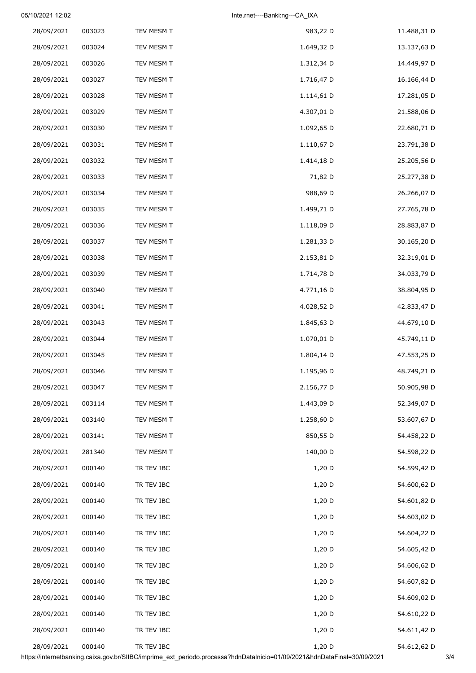05/10/2021 12:02 **Inte.rnet----Banki:ng---CA\_IXA** 

| 28/09/2021 | 003023 | TEV MESM T | 983,22 D   | 11.488,31 D |
|------------|--------|------------|------------|-------------|
| 28/09/2021 | 003024 | TEV MESM T | 1.649,32 D | 13.137,63 D |
| 28/09/2021 | 003026 | TEV MESM T | 1.312,34 D | 14.449,97 D |
| 28/09/2021 | 003027 | TEV MESM T | 1.716,47 D | 16.166,44 D |
| 28/09/2021 | 003028 | TEV MESM T | 1.114,61 D | 17.281,05 D |
| 28/09/2021 | 003029 | TEV MESM T | 4.307,01 D | 21.588,06 D |
| 28/09/2021 | 003030 | TEV MESM T | 1.092,65 D | 22.680,71 D |
| 28/09/2021 | 003031 | TEV MESM T | 1.110,67 D | 23.791,38 D |
| 28/09/2021 | 003032 | TEV MESM T | 1.414,18 D | 25.205,56 D |
| 28/09/2021 | 003033 | TEV MESM T | 71,82 D    | 25.277,38 D |
| 28/09/2021 | 003034 | TEV MESM T | 988,69 D   | 26.266,07 D |
| 28/09/2021 | 003035 | TEV MESM T | 1.499,71 D | 27.765,78 D |
| 28/09/2021 | 003036 | TEV MESM T | 1.118,09 D | 28.883,87 D |
| 28/09/2021 | 003037 | TEV MESM T | 1.281,33 D | 30.165,20 D |
| 28/09/2021 | 003038 | TEV MESM T | 2.153,81 D | 32.319,01 D |
| 28/09/2021 | 003039 | TEV MESM T | 1.714,78 D | 34.033,79 D |
| 28/09/2021 | 003040 | TEV MESM T | 4.771,16 D | 38.804,95 D |
| 28/09/2021 | 003041 | TEV MESM T | 4.028,52 D | 42.833,47 D |
| 28/09/2021 | 003043 | TEV MESM T | 1.845,63 D | 44.679,10 D |
| 28/09/2021 | 003044 | TEV MESM T | 1.070,01 D | 45.749,11 D |
| 28/09/2021 | 003045 | TEV MESM T | 1.804,14 D | 47.553,25 D |
| 28/09/2021 | 003046 | TEV MESM T | 1.195,96 D | 48.749,21 D |
| 28/09/2021 | 003047 | TEV MESM T | 2.156,77 D | 50.905,98 D |
| 28/09/2021 | 003114 | TEV MESM T | 1.443,09 D | 52.349,07 D |
| 28/09/2021 | 003140 | TEV MESM T | 1.258,60 D | 53.607,67 D |
| 28/09/2021 | 003141 | TEV MESM T | 850,55 D   | 54.458,22 D |
| 28/09/2021 | 281340 | TEV MESM T | 140,00 D   | 54.598,22 D |
| 28/09/2021 | 000140 | TR TEV IBC | $1,20$ D   | 54.599,42 D |
| 28/09/2021 | 000140 | TR TEV IBC | $1,20$ D   | 54.600,62 D |
| 28/09/2021 | 000140 | TR TEV IBC | $1,20$ D   | 54.601,82 D |
| 28/09/2021 | 000140 | TR TEV IBC | $1,20$ D   | 54.603,02 D |
| 28/09/2021 | 000140 | TR TEV IBC | $1,20$ D   | 54.604,22 D |
| 28/09/2021 | 000140 | TR TEV IBC | 1,20 D     | 54.605,42 D |
| 28/09/2021 | 000140 | TR TEV IBC | $1,20$ D   | 54.606,62 D |
| 28/09/2021 | 000140 | TR TEV IBC | $1,20$ D   | 54.607,82 D |
| 28/09/2021 | 000140 | TR TEV IBC | $1,20$ D   | 54.609,02 D |
| 28/09/2021 | 000140 | TR TEV IBC | $1,20$ D   | 54.610,22 D |
| 28/09/2021 | 000140 | TR TEV IBC | 1,20 D     | 54.611,42 D |
| 28/09/2021 | 000140 | TR TEV IBC | 1,20 D     | 54.612,62 D |